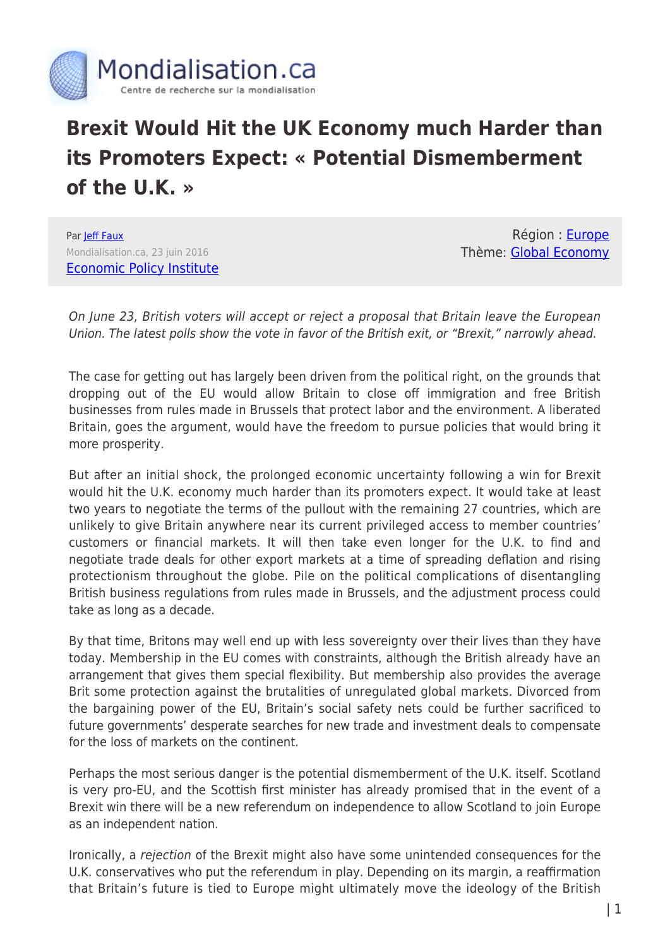

## **Brexit Would Hit the UK Economy much Harder than its Promoters Expect: « Potential Dismemberment of the U.K. »**

Par **[Jeff Faux](https://www.mondialisation.ca/author/jeff)** Mondialisation.ca, 23 juin 2016 [Economic Policy Institute](http://www.epi.org/blog/brexit-would-hit-the-uk-economy-much-harder-than-its-promoters-expect/)

Région : [Europe](https://www.mondialisation.ca/region/europe) Thème: [Global Economy](https://www.mondialisation.ca/theme/global-economy)

On June 23, British voters will accept or reject a proposal that Britain leave the European Union. The latest polls show the vote in favor of the British exit, or "Brexit," narrowly ahead.

The case for getting out has largely been driven from the political right, on the grounds that dropping out of the EU would allow Britain to close off immigration and free British businesses from rules made in Brussels that protect labor and the environment. A liberated Britain, goes the argument, would have the freedom to pursue policies that would bring it more prosperity.

But after an initial shock, the prolonged economic uncertainty following a win for Brexit would hit the U.K. economy much harder than its promoters expect. It would take at least two years to negotiate the terms of the pullout with the remaining 27 countries, which are unlikely to give Britain anywhere near its current privileged access to member countries' customers or financial markets. It will then take even longer for the U.K. to find and negotiate trade deals for other export markets at a time of spreading deflation and rising protectionism throughout the globe. Pile on the political complications of disentangling British business regulations from rules made in Brussels, and the adjustment process could take as long as a decade.

By that time, Britons may well end up with less sovereignty over their lives than they have today. Membership in the EU comes with constraints, although the British already have an arrangement that gives them special flexibility. But membership also provides the average Brit some protection against the brutalities of unregulated global markets. Divorced from the bargaining power of the EU, Britain's social safety nets could be further sacrificed to future governments' desperate searches for new trade and investment deals to compensate for the loss of markets on the continent.

Perhaps the most serious danger is the potential dismemberment of the U.K. itself. Scotland is very pro-EU, and the Scottish first minister has already promised that in the event of a Brexit win there will be a new referendum on independence to allow Scotland to join Europe as an independent nation.

Ironically, a rejection of the Brexit might also have some unintended consequences for the U.K. conservatives who put the referendum in play. Depending on its margin, a reaffirmation that Britain's future is tied to Europe might ultimately move the ideology of the British